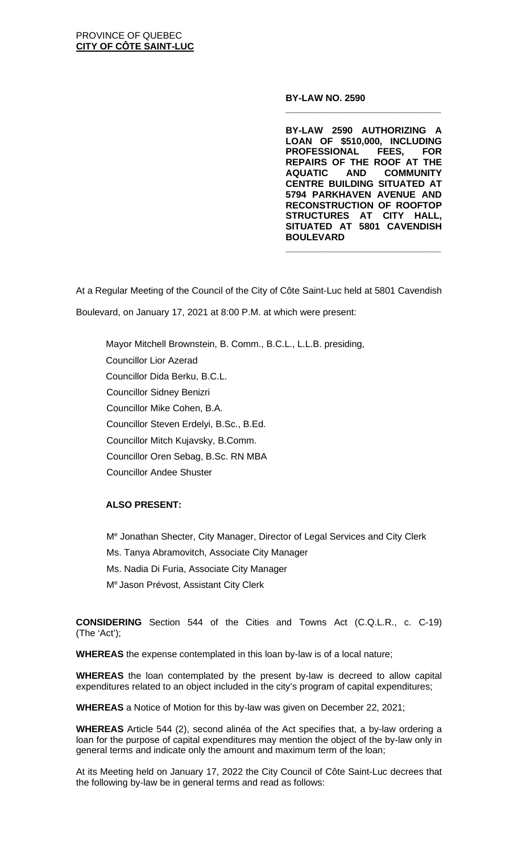#### **BY-LAW NO. 2590**

**BY-LAW 2590 AUTHORIZING A LOAN OF \$510,000, INCLUDING PROFESSIONAL FEES, FOR REPAIRS OF THE ROOF AT THE COMMUNITY CENTRE BUILDING SITUATED AT 5794 PARKHAVEN AVENUE AND RECONSTRUCTION OF ROOFTOP STRUCTURES AT CITY HALL, SITUATED AT 5801 CAVENDISH BOULEVARD**

**\_\_\_\_\_\_\_\_\_\_\_\_\_\_\_\_\_\_\_\_\_\_\_\_\_\_\_\_\_\_**

**\_\_\_\_\_\_\_\_\_\_\_\_\_\_\_\_\_\_\_\_\_\_\_\_\_\_\_\_\_\_**

At a Regular Meeting of the Council of the City of Côte Saint-Luc held at 5801 Cavendish Boulevard, on January 17, 2021 at 8:00 P.M. at which were present:

Mayor Mitchell Brownstein, B. Comm., B.C.L., L.L.B. presiding, Councillor Lior Azerad Councillor Dida Berku, B.C.L. Councillor Sidney Benizri Councillor Mike Cohen, B.A. Councillor Steven Erdelyi, B.Sc., B.Ed. Councillor Mitch Kujavsky, B.Comm. Councillor Oren Sebag, B.Sc. RN MBA Councillor Andee Shuster

### **ALSO PRESENT:**

Me Jonathan Shecter, City Manager, Director of Legal Services and City Clerk Ms. Tanya Abramovitch, Associate City Manager Ms. Nadia Di Furia, Associate City Manager Me Jason Prévost, Assistant City Clerk

**CONSIDERING** Section 544 of the Cities and Towns Act (C.Q.L.R., c. C-19) (The 'Act');

**WHEREAS** the expense contemplated in this loan by-law is of a local nature;

**WHEREAS** the loan contemplated by the present by-law is decreed to allow capital expenditures related to an object included in the city's program of capital expenditures;

**WHEREAS** a Notice of Motion for this by-law was given on December 22, 2021;

**WHEREAS** Article 544 (2), second alinéa of the Act specifies that, a by-law ordering a loan for the purpose of capital expenditures may mention the object of the by-law only in general terms and indicate only the amount and maximum term of the loan;

At its Meeting held on January 17, 2022 the City Council of Côte Saint-Luc decrees that the following by-law be in general terms and read as follows: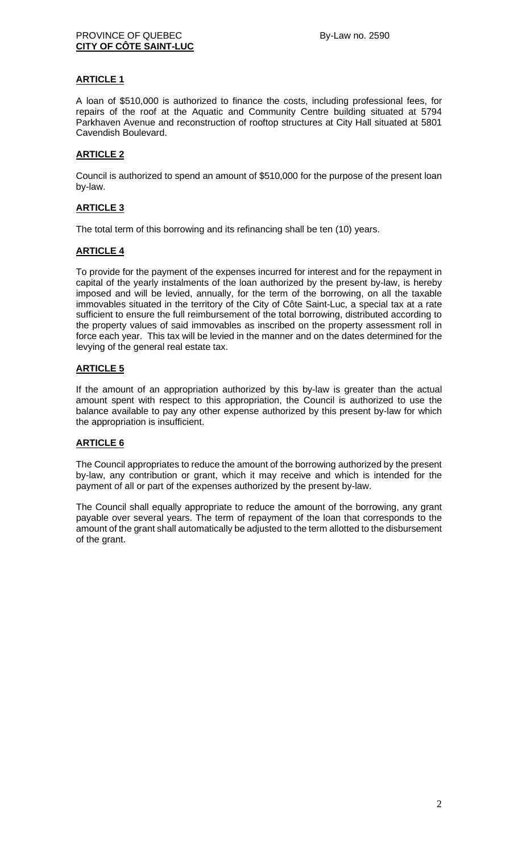# **ARTICLE 1**

A loan of \$510,000 is authorized to finance the costs, including professional fees, for repairs of the roof at the Aquatic and Community Centre building situated at 5794 Parkhaven Avenue and reconstruction of rooftop structures at City Hall situated at 5801 Cavendish Boulevard.

### **ARTICLE 2**

Council is authorized to spend an amount of \$510,000 for the purpose of the present loan by-law.

# **ARTICLE 3**

The total term of this borrowing and its refinancing shall be ten (10) years.

### **ARTICLE 4**

To provide for the payment of the expenses incurred for interest and for the repayment in capital of the yearly instalments of the loan authorized by the present by-law, is hereby imposed and will be levied, annually, for the term of the borrowing, on all the taxable immovables situated in the territory of the City of Côte Saint-Luc, a special tax at a rate sufficient to ensure the full reimbursement of the total borrowing, distributed according to the property values of said immovables as inscribed on the property assessment roll in force each year. This tax will be levied in the manner and on the dates determined for the levying of the general real estate tax.

# **ARTICLE 5**

If the amount of an appropriation authorized by this by-law is greater than the actual amount spent with respect to this appropriation, the Council is authorized to use the balance available to pay any other expense authorized by this present by-law for which the appropriation is insufficient.

### **ARTICLE 6**

The Council appropriates to reduce the amount of the borrowing authorized by the present by-law, any contribution or grant, which it may receive and which is intended for the payment of all or part of the expenses authorized by the present by-law.

The Council shall equally appropriate to reduce the amount of the borrowing, any grant payable over several years. The term of repayment of the loan that corresponds to the amount of the grant shall automatically be adjusted to the term allotted to the disbursement of the grant.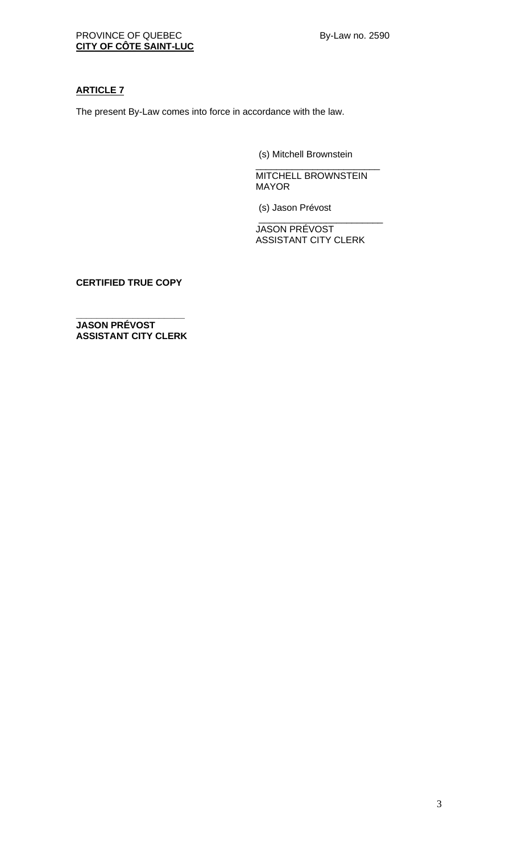# **ARTICLE 7**

The present By-Law comes into force in accordance with the law.

(s) Mitchell Brownstein

\_\_\_\_\_\_\_\_\_\_\_\_\_\_\_\_\_\_\_\_\_\_\_\_ MITCHELL BROWNSTEIN MAYOR

(s) Jason Prévost

\_\_\_\_\_\_\_\_\_\_\_\_\_\_\_\_\_\_\_\_\_\_\_\_ JASON PRÉVOST ASSISTANT CITY CLERK

**CERTIFIED TRUE COPY**

**\_\_\_\_\_\_\_\_\_\_\_\_\_\_\_\_\_\_\_\_\_ JASON PRÉVOST ASSISTANT CITY CLERK**